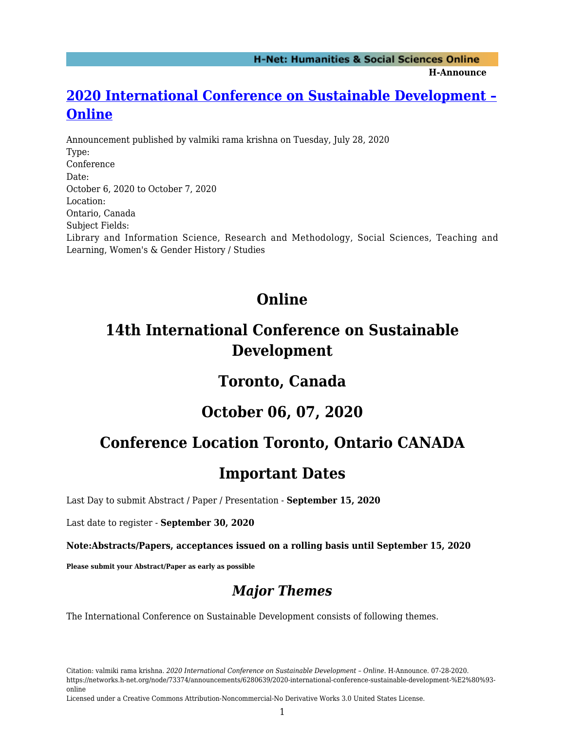**H-Announce** 

### **[2020 International Conference on Sustainable Development –](https://networks.h-net.org/node/73374/announcements/6280639/2020-international-conference-sustainable-development-%E2%80%93-online) [Online](https://networks.h-net.org/node/73374/announcements/6280639/2020-international-conference-sustainable-development-%E2%80%93-online)**

Announcement published by valmiki rama krishna on Tuesday, July 28, 2020 Type: Conference Date: October 6, 2020 to October 7, 2020 Location: Ontario, Canada Subject Fields: Library and Information Science, Research and Methodology, Social Sciences, Teaching and Learning, Women's & Gender History / Studies

# **Online**

## **14th International Conference on Sustainable Development**

### **Toronto, Canada**

### **October 06, 07, 2020**

# **Conference Location Toronto, Ontario CANADA**

### **Important Dates**

Last Day to submit Abstract / Paper / Presentation - **September 15, 2020**

Last date to register - **September 30, 2020**

**Note:Abstracts/Papers, acceptances issued on a rolling basis until September 15, 2020**

**Please submit your Abstract/Paper as early as possible**

### *Major Themes*

The International Conference on Sustainable Development consists of following themes.

Citation: valmiki rama krishna. *2020 International Conference on Sustainable Development – Online*. H-Announce. 07-28-2020. https://networks.h-net.org/node/73374/announcements/6280639/2020-international-conference-sustainable-development-%E2%80%93 online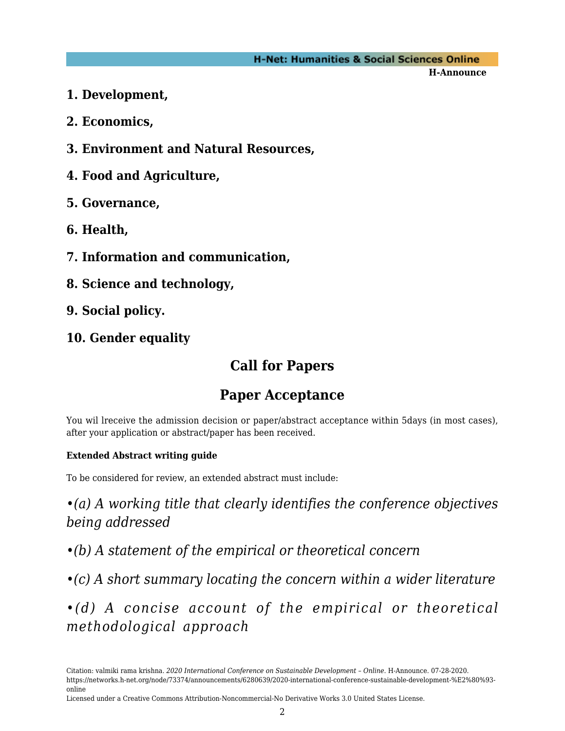#### **H-Net: Humanities & Social Sciences Online**

**H-Announce** 

- **1. Development,**
- **2. Economics,**
- **3. Environment and Natural Resources,**
- **4. Food and Agriculture,**
- **5. Governance,**
- **6. Health,**
- **7. Information and communication,**
- **8. Science and technology,**
- **9. Social policy.**
- **10. Gender equality**

## **Call for Papers**

## **Paper Acceptance**

You wil lreceive the admission decision or paper/abstract acceptance within 5days (in most cases), after your application or abstract/paper has been received.

#### **Extended Abstract writing guide**

To be considered for review, an extended abstract must include:

*•(a) A working title that clearly identifies the conference objectives being addressed*

*•(b) A statement of the empirical or theoretical concern*

*•(c) A short summary locating the concern within a wider literature*

*•(d) A concise account of the empirical or theoretical methodological approach*

Citation: valmiki rama krishna. *2020 International Conference on Sustainable Development – Online*. H-Announce. 07-28-2020. https://networks.h-net.org/node/73374/announcements/6280639/2020-international-conference-sustainable-development-%E2%80%93 online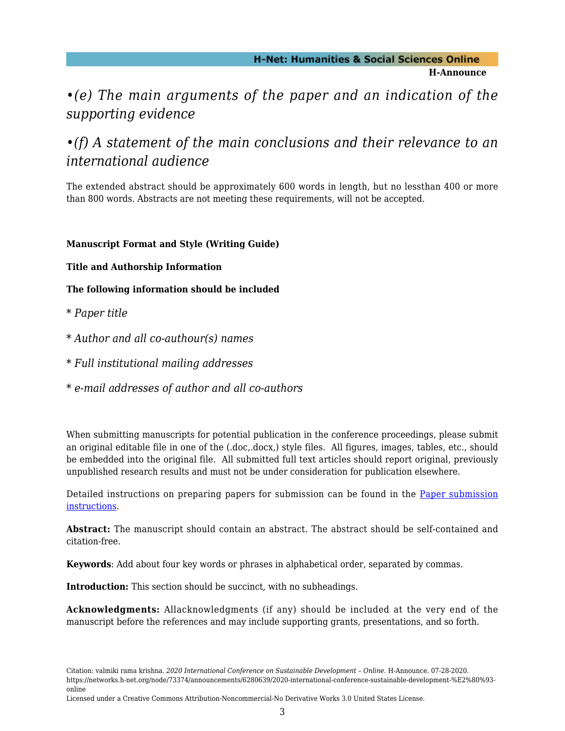#### **H-Net: Humanities & Social Sciences Online H-Announce**

#### *•(e) The main arguments of the paper and an indication of the supporting evidence*

#### *•(f) A statement of the main conclusions and their relevance to an international audience*

The extended abstract should be approximately 600 words in length, but no lessthan 400 or more than 800 words. Abstracts are not meeting these requirements, will not be accepted.

#### **Manuscript Format and Style (Writing Guide)**

**Title and Authorship Information**

**The following information should be included**

- *\* Paper title*
- *\* Author and all co-authour(s) names*
- *\* Full institutional mailing addresses*
- *\* e-mail addresses of author and all co-authors*

When submitting manuscripts for potential publication in the conference proceedings, please submit an original editable file in one of the (.doc,.docx,) style files. All figures, images, tables, etc., should be embedded into the original file. All submitted full text articles should report original, previously unpublished research results and must not be under consideration for publication elsewhere.

Detailed instructions on preparing papers for submission can be found in the [Paper submission](https://www.ontariointernational.org/index_htm_files/0003-papersubmissioninstructions.doc) [instructions](https://www.ontariointernational.org/index_htm_files/0003-papersubmissioninstructions.doc).

**Abstract:** The manuscript should contain an abstract. The abstract should be self-contained and citation-free.

**Keywords**: Add about four key words or phrases in alphabetical order, separated by commas.

**Introduction:** This section should be succinct, with no subheadings.

**Acknowledgments:** Allacknowledgments (if any) should be included at the very end of the manuscript before the references and may include supporting grants, presentations, and so forth.

Citation: valmiki rama krishna. *2020 International Conference on Sustainable Development – Online*. H-Announce. 07-28-2020. https://networks.h-net.org/node/73374/announcements/6280639/2020-international-conference-sustainable-development-%E2%80%93 online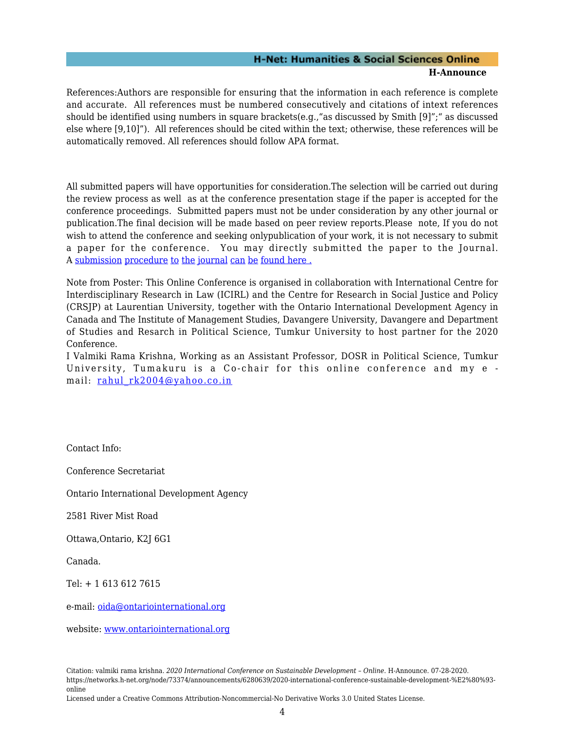#### **H-Net: Humanities & Social Sciences Online H-Announce**

References:Authors are responsible for ensuring that the information in each reference is complete and accurate. All references must be numbered consecutively and citations of intext references should be identified using numbers in square brackets(e.g.,"as discussed by Smith [9]";" as discussed else where [9,10]"). All references should be cited within the text; otherwise, these references will be automatically removed. All references should follow APA format.

All submitted papers will have opportunities for consideration.The selection will be carried out during the review process as well as at the conference presentation stage if the paper is accepted for the conference proceedings. Submitted papers must not be under consideration by any other journal or publication.The final decision will be made based on peer review reports.Please note, If you do not wish to attend the conference and seeking onlypublication of your work, it is not necessary to submit a paper for the conference. You may directly submitted the paper to the Journal. A [submission](https://www.ontariointernational.org/publicationsjournal.htm) [procedure](https://www.ontariointernational.org/publicationsjournal.htm) [to](https://www.ontariointernational.org/publicationsjournal.htm) [the](https://www.ontariointernational.org/publicationsjournal.htm) [journal](https://www.ontariointernational.org/publicationsjournal.htm) [can](https://www.ontariointernational.org/publicationsjournal.htm) [be](https://www.ontariointernational.org/publicationsjournal.htm) [found here .](https://www.ontariointernational.org/publicationsjournal.htm)

Note from Poster: This Online Conference is organised in collaboration with International Centre for Interdisciplinary Research in Law (ICIRL) and the Centre for Research in Social Justice and Policy (CRSJP) at Laurentian University, together with the Ontario International Development Agency in Canada and The Institute of Management Studies, Davangere University, Davangere and Department of Studies and Resarch in Political Science, Tumkur University to host partner for the 2020 Conference.

I Valmiki Rama Krishna, Working as an Assistant Professor, DOSR in Political Science, Tumkur University, Tumakuru is a Co-chair for this online conference and my e mail: rahul rk2004@yahoo.co.in

Contact Info:

Conference Secretariat

Ontario International Development Agency

2581 River Mist Road

Ottawa,Ontario, K2J 6G1

Canada.

Tel: + 1 613 612 7615

e-mail: [oida@ontariointernational.org](mailto:oida@ontariointernational.org)

website: [www.ontariointernational.org](http://www.ontariointernational.org)

Citation: valmiki rama krishna. *2020 International Conference on Sustainable Development – Online*. H-Announce. 07-28-2020. https://networks.h-net.org/node/73374/announcements/6280639/2020-international-conference-sustainable-development-%E2%80%93 online